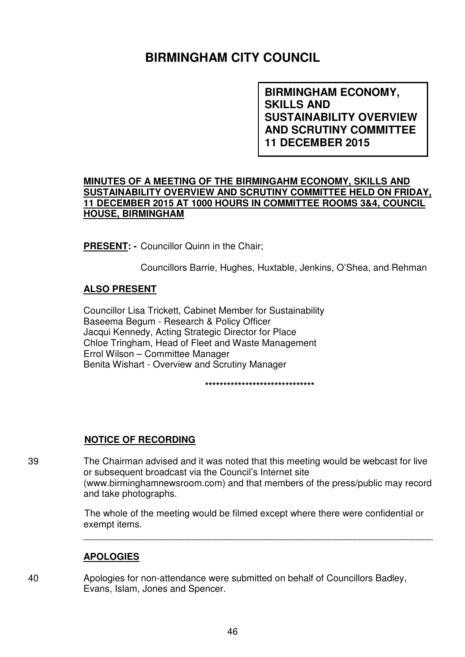# **BIRMINGHAM CITY COUNCIL**

**BIRMINGHAM ECONOMY, SKILLS AND SUSTAINABILITY OVERVIEW AND SCRUTINY COMMITTEE 11 DECEMBER 2015**

### **MINUTES OF A MEETING OF THE BIRMINGAHM ECONOMY, SKILLS AND SUSTAINABILITY OVERVIEW AND SCRUTINY COMMITTEE HELD ON FRIDAY, 11 DECEMBER 2015 AT 1000 HOURS IN COMMITTEE ROOMS 3&4, COUNCIL HOUSE, BIRMINGHAM**

**PRESENT: -** Councillor Quinn in the Chair;

Councillors Barrie, Hughes, Huxtable, Jenkins, O'Shea, and Rehman

### **ALSO PRESENT**

Councillor Lisa Trickett, Cabinet Member for Sustainability Baseema Begum - Research & Policy Officer Jacqui Kennedy, Acting Strategic Director for Place Chloe Tringham, Head of Fleet and Waste Management Errol Wilson – Committee Manager Benita Wishart - Overview and Scrutiny Manager

**\*\*\*\*\*\*\*\*\*\*\*\*\*\*\*\*\*\*\*\*\*\*\*\*\*\*\*\*\*\*** 

### **NOTICE OF RECORDING**

39 The Chairman advised and it was noted that this meeting would be webcast for live or subsequent broadcast via the Council's Internet site (www.birminghamnewsroom.com) and that members of the press/public may record and take photographs.

> The whole of the meeting would be filmed except where there were confidential or exempt items.

\_\_\_\_\_\_\_\_\_\_\_\_\_\_\_\_\_\_\_\_\_\_\_\_\_\_\_\_\_\_\_\_\_\_\_\_\_\_\_\_\_\_\_\_\_\_\_\_\_\_\_\_\_\_\_\_\_\_\_\_\_\_\_\_\_\_\_

### **APOLOGIES**

40 Apologies for non-attendance were submitted on behalf of Councillors Badley, Evans, Islam, Jones and Spencer.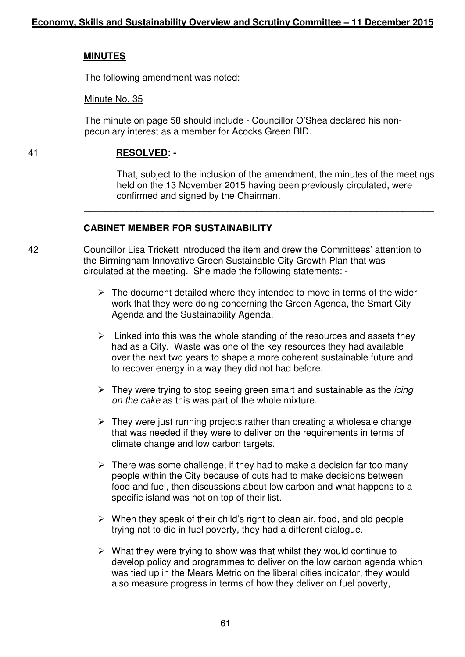### **MINUTES**

The following amendment was noted: -

### Minute No. 35

The minute on page 58 should include - Councillor O'Shea declared his nonpecuniary interest as a member for Acocks Green BID.

### 41 **RESOLVED: -**

That, subject to the inclusion of the amendment, the minutes of the meetings held on the 13 November 2015 having been previously circulated, were confirmed and signed by the Chairman.

# **CABINET MEMBER FOR SUSTAINABILITY**

42 Councillor Lisa Trickett introduced the item and drew the Committees' attention to the Birmingham Innovative Green Sustainable City Growth Plan that was circulated at the meeting. She made the following statements: -

 $\overline{\phantom{a}}$  ,  $\overline{\phantom{a}}$  ,  $\overline{\phantom{a}}$  ,  $\overline{\phantom{a}}$  ,  $\overline{\phantom{a}}$  ,  $\overline{\phantom{a}}$  ,  $\overline{\phantom{a}}$  ,  $\overline{\phantom{a}}$  ,  $\overline{\phantom{a}}$  ,  $\overline{\phantom{a}}$  ,  $\overline{\phantom{a}}$  ,  $\overline{\phantom{a}}$  ,  $\overline{\phantom{a}}$  ,  $\overline{\phantom{a}}$  ,  $\overline{\phantom{a}}$  ,  $\overline{\phantom{a}}$ 

- $\triangleright$  The document detailed where they intended to move in terms of the wider work that they were doing concerning the Green Agenda, the Smart City Agenda and the Sustainability Agenda.
- $\triangleright$  Linked into this was the whole standing of the resources and assets they had as a City. Waste was one of the key resources they had available over the next two years to shape a more coherent sustainable future and to recover energy in a way they did not had before.
- $\triangleright$  They were trying to stop seeing green smart and sustainable as the *icing* on the cake as this was part of the whole mixture.
- $\triangleright$  They were just running projects rather than creating a wholesale change that was needed if they were to deliver on the requirements in terms of climate change and low carbon targets.
- $\triangleright$  There was some challenge, if they had to make a decision far too many people within the City because of cuts had to make decisions between food and fuel, then discussions about low carbon and what happens to a specific island was not on top of their list.
- $\triangleright$  When they speak of their child's right to clean air, food, and old people trying not to die in fuel poverty, they had a different dialogue.
- $\triangleright$  What they were trying to show was that whilst they would continue to develop policy and programmes to deliver on the low carbon agenda which was tied up in the Mears Metric on the liberal cities indicator, they would also measure progress in terms of how they deliver on fuel poverty,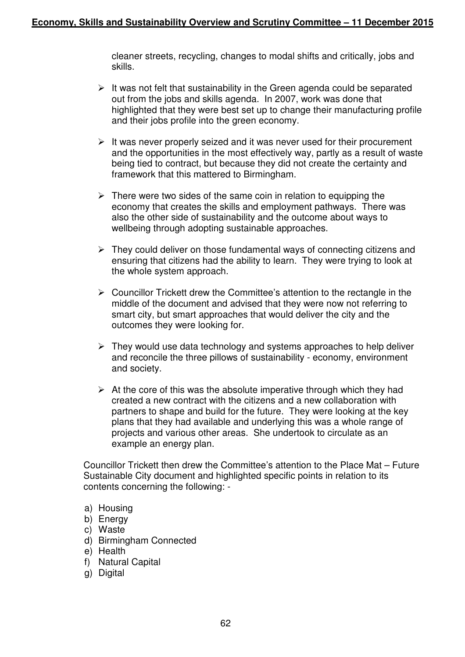cleaner streets, recycling, changes to modal shifts and critically, jobs and skills.

- $\triangleright$  It was not felt that sustainability in the Green agenda could be separated out from the jobs and skills agenda. In 2007, work was done that highlighted that they were best set up to change their manufacturing profile and their jobs profile into the green economy.
- $\triangleright$  It was never properly seized and it was never used for their procurement and the opportunities in the most effectively way, partly as a result of waste being tied to contract, but because they did not create the certainty and framework that this mattered to Birmingham.
- $\triangleright$  There were two sides of the same coin in relation to equipping the economy that creates the skills and employment pathways. There was also the other side of sustainability and the outcome about ways to wellbeing through adopting sustainable approaches.
- $\triangleright$  They could deliver on those fundamental ways of connecting citizens and ensuring that citizens had the ability to learn. They were trying to look at the whole system approach.
- $\triangleright$  Councillor Trickett drew the Committee's attention to the rectangle in the middle of the document and advised that they were now not referring to smart city, but smart approaches that would deliver the city and the outcomes they were looking for.
- $\triangleright$  They would use data technology and systems approaches to help deliver and reconcile the three pillows of sustainability - economy, environment and society.
- $\triangleright$  At the core of this was the absolute imperative through which they had created a new contract with the citizens and a new collaboration with partners to shape and build for the future. They were looking at the key plans that they had available and underlying this was a whole range of projects and various other areas. She undertook to circulate as an example an energy plan.

Councillor Trickett then drew the Committee's attention to the Place Mat – Future Sustainable City document and highlighted specific points in relation to its contents concerning the following: -

- a) Housing
- b) Energy
- c) Waste
- d) Birmingham Connected
- e) Health
- f) Natural Capital
- g) Digital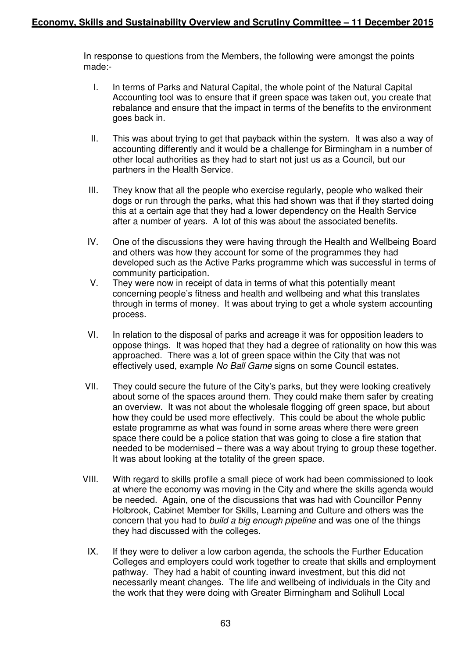In response to questions from the Members, the following were amongst the points made:-

- I. In terms of Parks and Natural Capital, the whole point of the Natural Capital Accounting tool was to ensure that if green space was taken out, you create that rebalance and ensure that the impact in terms of the benefits to the environment goes back in.
- II. This was about trying to get that payback within the system. It was also a way of accounting differently and it would be a challenge for Birmingham in a number of other local authorities as they had to start not just us as a Council, but our partners in the Health Service.
- III. They know that all the people who exercise regularly, people who walked their dogs or run through the parks, what this had shown was that if they started doing this at a certain age that they had a lower dependency on the Health Service after a number of years. A lot of this was about the associated benefits.
- IV. One of the discussions they were having through the Health and Wellbeing Board and others was how they account for some of the programmes they had developed such as the Active Parks programme which was successful in terms of community participation.
- V. They were now in receipt of data in terms of what this potentially meant concerning people's fitness and health and wellbeing and what this translates through in terms of money. It was about trying to get a whole system accounting process.
- VI. In relation to the disposal of parks and acreage it was for opposition leaders to oppose things. It was hoped that they had a degree of rationality on how this was approached. There was a lot of green space within the City that was not effectively used, example No Ball Game signs on some Council estates.
- VII. They could secure the future of the City's parks, but they were looking creatively about some of the spaces around them. They could make them safer by creating an overview. It was not about the wholesale flogging off green space, but about how they could be used more effectively. This could be about the whole public estate programme as what was found in some areas where there were green space there could be a police station that was going to close a fire station that needed to be modernised – there was a way about trying to group these together. It was about looking at the totality of the green space.
- VIII. With regard to skills profile a small piece of work had been commissioned to look at where the economy was moving in the City and where the skills agenda would be needed. Again, one of the discussions that was had with Councillor Penny Holbrook, Cabinet Member for Skills, Learning and Culture and others was the concern that you had to build a big enough pipeline and was one of the things they had discussed with the colleges.
- IX. If they were to deliver a low carbon agenda, the schools the Further Education Colleges and employers could work together to create that skills and employment pathway. They had a habit of counting inward investment, but this did not necessarily meant changes. The life and wellbeing of individuals in the City and the work that they were doing with Greater Birmingham and Solihull Local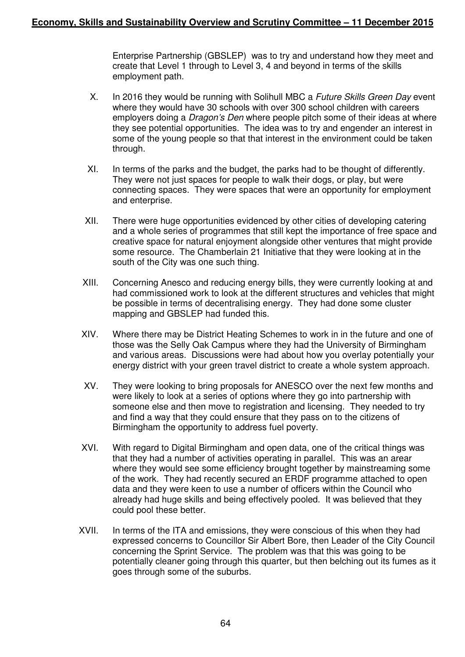Enterprise Partnership (GBSLEP) was to try and understand how they meet and create that Level 1 through to Level 3, 4 and beyond in terms of the skills employment path.

- X. In 2016 they would be running with Solihull MBC a Future Skills Green Day event where they would have 30 schools with over 300 school children with careers employers doing a *Dragon's Den* where people pitch some of their ideas at where they see potential opportunities. The idea was to try and engender an interest in some of the young people so that that interest in the environment could be taken through.
- XI. In terms of the parks and the budget, the parks had to be thought of differently. They were not just spaces for people to walk their dogs, or play, but were connecting spaces. They were spaces that were an opportunity for employment and enterprise.
- XII. There were huge opportunities evidenced by other cities of developing catering and a whole series of programmes that still kept the importance of free space and creative space for natural enjoyment alongside other ventures that might provide some resource. The Chamberlain 21 Initiative that they were looking at in the south of the City was one such thing.
- XIII. Concerning Anesco and reducing energy bills, they were currently looking at and had commissioned work to look at the different structures and vehicles that might be possible in terms of decentralising energy. They had done some cluster mapping and GBSLEP had funded this.
- XIV. Where there may be District Heating Schemes to work in in the future and one of those was the Selly Oak Campus where they had the University of Birmingham and various areas. Discussions were had about how you overlay potentially your energy district with your green travel district to create a whole system approach.
- XV. They were looking to bring proposals for ANESCO over the next few months and were likely to look at a series of options where they go into partnership with someone else and then move to registration and licensing. They needed to try and find a way that they could ensure that they pass on to the citizens of Birmingham the opportunity to address fuel poverty.
- XVI. With regard to Digital Birmingham and open data, one of the critical things was that they had a number of activities operating in parallel. This was an arear where they would see some efficiency brought together by mainstreaming some of the work. They had recently secured an ERDF programme attached to open data and they were keen to use a number of officers within the Council who already had huge skills and being effectively pooled. It was believed that they could pool these better.
- XVII. In terms of the ITA and emissions, they were conscious of this when they had expressed concerns to Councillor Sir Albert Bore, then Leader of the City Council concerning the Sprint Service. The problem was that this was going to be potentially cleaner going through this quarter, but then belching out its fumes as it goes through some of the suburbs.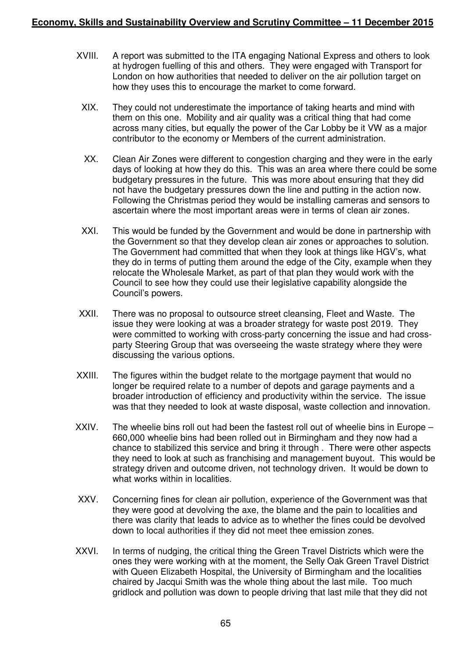- XVIII. A report was submitted to the ITA engaging National Express and others to look at hydrogen fuelling of this and others. They were engaged with Transport for London on how authorities that needed to deliver on the air pollution target on how they uses this to encourage the market to come forward.
	- XIX. They could not underestimate the importance of taking hearts and mind with them on this one. Mobility and air quality was a critical thing that had come across many cities, but equally the power of the Car Lobby be it VW as a major contributor to the economy or Members of the current administration.
	- XX. Clean Air Zones were different to congestion charging and they were in the early days of looking at how they do this. This was an area where there could be some budgetary pressures in the future. This was more about ensuring that they did not have the budgetary pressures down the line and putting in the action now. Following the Christmas period they would be installing cameras and sensors to ascertain where the most important areas were in terms of clean air zones.
	- XXI. This would be funded by the Government and would be done in partnership with the Government so that they develop clean air zones or approaches to solution. The Government had committed that when they look at things like HGV's, what they do in terms of putting them around the edge of the City, example when they relocate the Wholesale Market, as part of that plan they would work with the Council to see how they could use their legislative capability alongside the Council's powers.
- XXII. There was no proposal to outsource street cleansing, Fleet and Waste. The issue they were looking at was a broader strategy for waste post 2019. They were committed to working with cross-party concerning the issue and had crossparty Steering Group that was overseeing the waste strategy where they were discussing the various options.
- XXIII. The figures within the budget relate to the mortgage payment that would no longer be required relate to a number of depots and garage payments and a broader introduction of efficiency and productivity within the service. The issue was that they needed to look at waste disposal, waste collection and innovation.
- XXIV. The wheelie bins roll out had been the fastest roll out of wheelie bins in Europe 660,000 wheelie bins had been rolled out in Birmingham and they now had a chance to stabilized this service and bring it through . There were other aspects they need to look at such as franchising and management buyout. This would be strategy driven and outcome driven, not technology driven. It would be down to what works within in localities.
- XXV. Concerning fines for clean air pollution, experience of the Government was that they were good at devolving the axe, the blame and the pain to localities and there was clarity that leads to advice as to whether the fines could be devolved down to local authorities if they did not meet thee emission zones.
- XXVI. In terms of nudging, the critical thing the Green Travel Districts which were the ones they were working with at the moment, the Selly Oak Green Travel District with Queen Elizabeth Hospital, the University of Birmingham and the localities chaired by Jacqui Smith was the whole thing about the last mile. Too much gridlock and pollution was down to people driving that last mile that they did not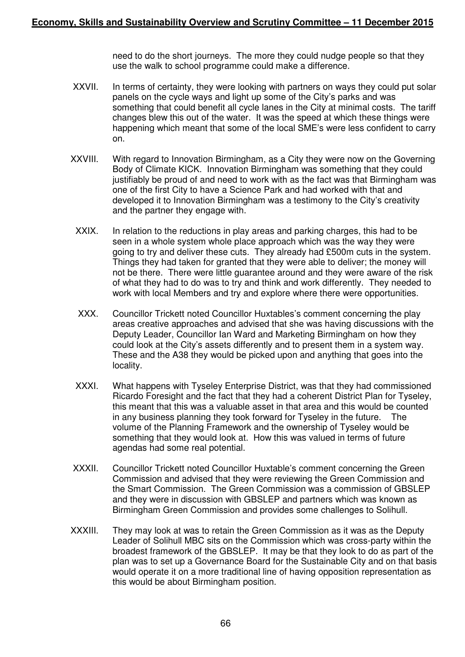need to do the short journeys. The more they could nudge people so that they use the walk to school programme could make a difference.

- XXVII. In terms of certainty, they were looking with partners on ways they could put solar panels on the cycle ways and light up some of the City's parks and was something that could benefit all cycle lanes in the City at minimal costs. The tariff changes blew this out of the water. It was the speed at which these things were happening which meant that some of the local SME's were less confident to carry on.
- XXVIII. With regard to Innovation Birmingham, as a City they were now on the Governing Body of Climate KICK. Innovation Birmingham was something that they could justifiably be proud of and need to work with as the fact was that Birmingham was one of the first City to have a Science Park and had worked with that and developed it to Innovation Birmingham was a testimony to the City's creativity and the partner they engage with.
	- XXIX. In relation to the reductions in play areas and parking charges, this had to be seen in a whole system whole place approach which was the way they were going to try and deliver these cuts. They already had £500m cuts in the system. Things they had taken for granted that they were able to deliver; the money will not be there. There were little guarantee around and they were aware of the risk of what they had to do was to try and think and work differently. They needed to work with local Members and try and explore where there were opportunities.
	- XXX. Councillor Trickett noted Councillor Huxtables's comment concerning the play areas creative approaches and advised that she was having discussions with the Deputy Leader, Councillor Ian Ward and Marketing Birmingham on how they could look at the City's assets differently and to present them in a system way. These and the A38 they would be picked upon and anything that goes into the locality.
	- XXXI. What happens with Tyseley Enterprise District, was that they had commissioned Ricardo Foresight and the fact that they had a coherent District Plan for Tyseley, this meant that this was a valuable asset in that area and this would be counted in any business planning they took forward for Tyseley in the future. The volume of the Planning Framework and the ownership of Tyseley would be something that they would look at. How this was valued in terms of future agendas had some real potential.
- XXXII. Councillor Trickett noted Councillor Huxtable's comment concerning the Green Commission and advised that they were reviewing the Green Commission and the Smart Commission. The Green Commission was a commission of GBSLEP and they were in discussion with GBSLEP and partners which was known as Birmingham Green Commission and provides some challenges to Solihull.
- XXXIII. They may look at was to retain the Green Commission as it was as the Deputy Leader of Solihull MBC sits on the Commission which was cross-party within the broadest framework of the GBSLEP. It may be that they look to do as part of the plan was to set up a Governance Board for the Sustainable City and on that basis would operate it on a more traditional line of having opposition representation as this would be about Birmingham position.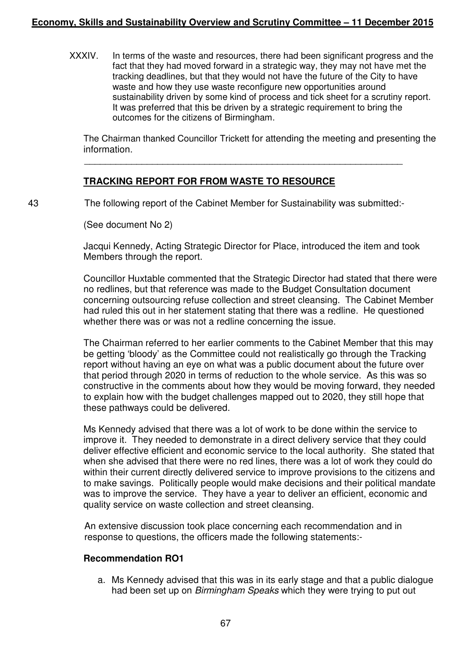# **Economy, Skills and Sustainability Overview and Scrutiny Committee – 11 December 2015**

XXXIV. In terms of the waste and resources, there had been significant progress and the fact that they had moved forward in a strategic way, they may not have met the tracking deadlines, but that they would not have the future of the City to have waste and how they use waste reconfigure new opportunities around sustainability driven by some kind of process and tick sheet for a scrutiny report. It was preferred that this be driven by a strategic requirement to bring the outcomes for the citizens of Birmingham.

The Chairman thanked Councillor Trickett for attending the meeting and presenting the information.

\_\_\_\_\_\_\_\_\_\_\_\_\_\_\_\_\_\_\_\_\_\_\_\_\_\_\_\_\_\_\_\_\_\_\_\_\_\_\_\_\_\_\_\_\_\_\_\_\_\_\_\_\_\_\_\_\_\_\_\_\_

# **TRACKING REPORT FOR FROM WASTE TO RESOURCE**

43 The following report of the Cabinet Member for Sustainability was submitted:-

(See document No 2)

Jacqui Kennedy, Acting Strategic Director for Place, introduced the item and took Members through the report.

Councillor Huxtable commented that the Strategic Director had stated that there were no redlines, but that reference was made to the Budget Consultation document concerning outsourcing refuse collection and street cleansing. The Cabinet Member had ruled this out in her statement stating that there was a redline. He questioned whether there was or was not a redline concerning the issue.

The Chairman referred to her earlier comments to the Cabinet Member that this may be getting 'bloody' as the Committee could not realistically go through the Tracking report without having an eye on what was a public document about the future over that period through 2020 in terms of reduction to the whole service. As this was so constructive in the comments about how they would be moving forward, they needed to explain how with the budget challenges mapped out to 2020, they still hope that these pathways could be delivered.

Ms Kennedy advised that there was a lot of work to be done within the service to improve it. They needed to demonstrate in a direct delivery service that they could deliver effective efficient and economic service to the local authority. She stated that when she advised that there were no red lines, there was a lot of work they could do within their current directly delivered service to improve provisions to the citizens and to make savings. Politically people would make decisions and their political mandate was to improve the service. They have a year to deliver an efficient, economic and quality service on waste collection and street cleansing.

 An extensive discussion took place concerning each recommendation and in response to questions, the officers made the following statements:-

### **Recommendation RO1**

a. Ms Kennedy advised that this was in its early stage and that a public dialogue had been set up on Birmingham Speaks which they were trying to put out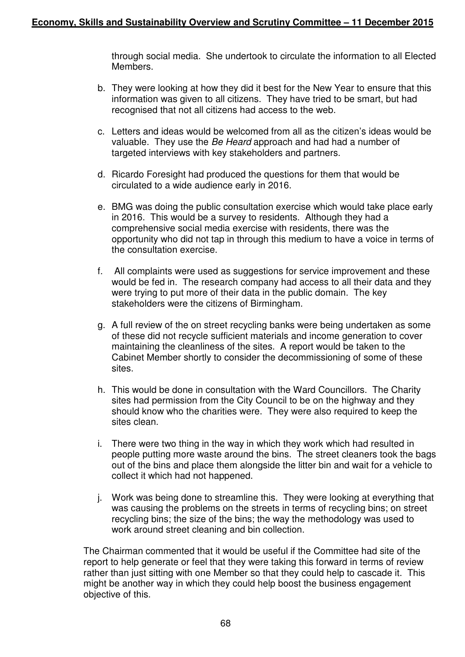through social media. She undertook to circulate the information to all Elected **Members** 

- b. They were looking at how they did it best for the New Year to ensure that this information was given to all citizens. They have tried to be smart, but had recognised that not all citizens had access to the web.
- c. Letters and ideas would be welcomed from all as the citizen's ideas would be valuable. They use the Be Heard approach and had had a number of targeted interviews with key stakeholders and partners.
- d. Ricardo Foresight had produced the questions for them that would be circulated to a wide audience early in 2016.
- e. BMG was doing the public consultation exercise which would take place early in 2016. This would be a survey to residents. Although they had a comprehensive social media exercise with residents, there was the opportunity who did not tap in through this medium to have a voice in terms of the consultation exercise.
- f. All complaints were used as suggestions for service improvement and these would be fed in. The research company had access to all their data and they were trying to put more of their data in the public domain. The key stakeholders were the citizens of Birmingham.
- g. A full review of the on street recycling banks were being undertaken as some of these did not recycle sufficient materials and income generation to cover maintaining the cleanliness of the sites. A report would be taken to the Cabinet Member shortly to consider the decommissioning of some of these sites.
- h. This would be done in consultation with the Ward Councillors. The Charity sites had permission from the City Council to be on the highway and they should know who the charities were. They were also required to keep the sites clean.
- i. There were two thing in the way in which they work which had resulted in people putting more waste around the bins. The street cleaners took the bags out of the bins and place them alongside the litter bin and wait for a vehicle to collect it which had not happened.
- j. Work was being done to streamline this. They were looking at everything that was causing the problems on the streets in terms of recycling bins; on street recycling bins; the size of the bins; the way the methodology was used to work around street cleaning and bin collection.

The Chairman commented that it would be useful if the Committee had site of the report to help generate or feel that they were taking this forward in terms of review rather than just sitting with one Member so that they could help to cascade it. This might be another way in which they could help boost the business engagement objective of this.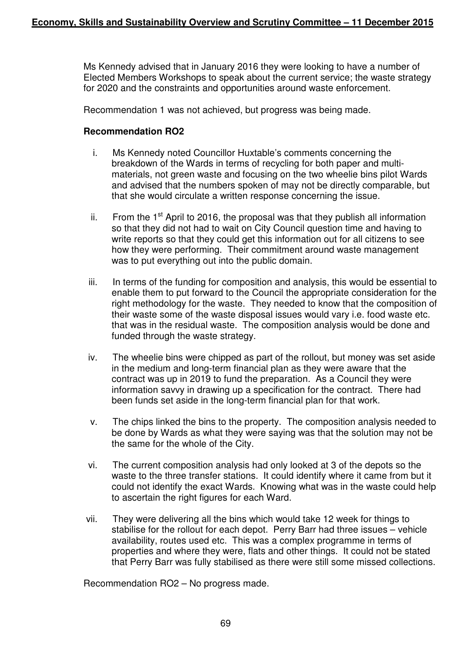Ms Kennedy advised that in January 2016 they were looking to have a number of Elected Members Workshops to speak about the current service; the waste strategy for 2020 and the constraints and opportunities around waste enforcement.

Recommendation 1 was not achieved, but progress was being made.

## **Recommendation RO2**

- i. Ms Kennedy noted Councillor Huxtable's comments concerning the breakdown of the Wards in terms of recycling for both paper and multimaterials, not green waste and focusing on the two wheelie bins pilot Wards and advised that the numbers spoken of may not be directly comparable, but that she would circulate a written response concerning the issue.
- ii. From the  $1<sup>st</sup>$  April to 2016, the proposal was that they publish all information so that they did not had to wait on City Council question time and having to write reports so that they could get this information out for all citizens to see how they were performing. Their commitment around waste management was to put everything out into the public domain.
- iii. In terms of the funding for composition and analysis, this would be essential to enable them to put forward to the Council the appropriate consideration for the right methodology for the waste. They needed to know that the composition of their waste some of the waste disposal issues would vary i.e. food waste etc. that was in the residual waste. The composition analysis would be done and funded through the waste strategy.
- iv. The wheelie bins were chipped as part of the rollout, but money was set aside in the medium and long-term financial plan as they were aware that the contract was up in 2019 to fund the preparation. As a Council they were information savvy in drawing up a specification for the contract. There had been funds set aside in the long-term financial plan for that work.
- v. The chips linked the bins to the property. The composition analysis needed to be done by Wards as what they were saying was that the solution may not be the same for the whole of the City.
- vi. The current composition analysis had only looked at 3 of the depots so the waste to the three transfer stations. It could identify where it came from but it could not identify the exact Wards. Knowing what was in the waste could help to ascertain the right figures for each Ward.
- vii. They were delivering all the bins which would take 12 week for things to stabilise for the rollout for each depot. Perry Barr had three issues – vehicle availability, routes used etc. This was a complex programme in terms of properties and where they were, flats and other things. It could not be stated that Perry Barr was fully stabilised as there were still some missed collections.

Recommendation RO2 – No progress made.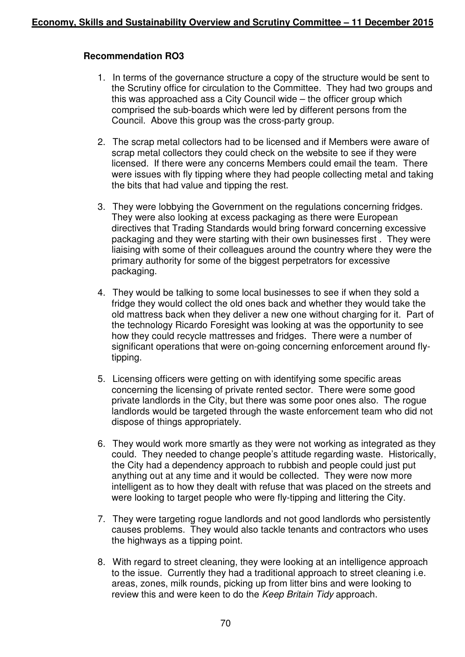# **Recommendation RO3**

- 1. In terms of the governance structure a copy of the structure would be sent to the Scrutiny office for circulation to the Committee. They had two groups and this was approached ass a City Council wide – the officer group which comprised the sub-boards which were led by different persons from the Council. Above this group was the cross-party group.
- 2. The scrap metal collectors had to be licensed and if Members were aware of scrap metal collectors they could check on the website to see if they were licensed. If there were any concerns Members could email the team. There were issues with fly tipping where they had people collecting metal and taking the bits that had value and tipping the rest.
- 3. They were lobbying the Government on the regulations concerning fridges. They were also looking at excess packaging as there were European directives that Trading Standards would bring forward concerning excessive packaging and they were starting with their own businesses first . They were liaising with some of their colleagues around the country where they were the primary authority for some of the biggest perpetrators for excessive packaging.
- 4. They would be talking to some local businesses to see if when they sold a fridge they would collect the old ones back and whether they would take the old mattress back when they deliver a new one without charging for it. Part of the technology Ricardo Foresight was looking at was the opportunity to see how they could recycle mattresses and fridges. There were a number of significant operations that were on-going concerning enforcement around flytipping.
- 5. Licensing officers were getting on with identifying some specific areas concerning the licensing of private rented sector. There were some good private landlords in the City, but there was some poor ones also. The rogue landlords would be targeted through the waste enforcement team who did not dispose of things appropriately.
- 6. They would work more smartly as they were not working as integrated as they could. They needed to change people's attitude regarding waste. Historically, the City had a dependency approach to rubbish and people could just put anything out at any time and it would be collected. They were now more intelligent as to how they dealt with refuse that was placed on the streets and were looking to target people who were fly-tipping and littering the City.
- 7. They were targeting rogue landlords and not good landlords who persistently causes problems. They would also tackle tenants and contractors who uses the highways as a tipping point.
- 8. With regard to street cleaning, they were looking at an intelligence approach to the issue. Currently they had a traditional approach to street cleaning i.e. areas, zones, milk rounds, picking up from litter bins and were looking to review this and were keen to do the Keep Britain Tidy approach.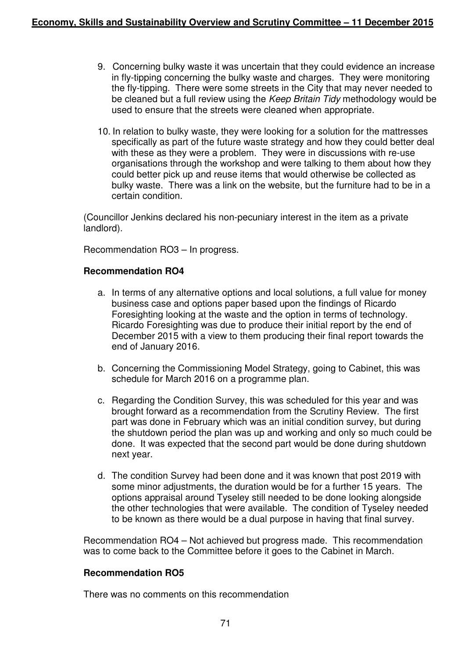- 9. Concerning bulky waste it was uncertain that they could evidence an increase in fly-tipping concerning the bulky waste and charges. They were monitoring the fly-tipping. There were some streets in the City that may never needed to be cleaned but a full review using the Keep Britain Tidy methodology would be used to ensure that the streets were cleaned when appropriate.
- 10. In relation to bulky waste, they were looking for a solution for the mattresses specifically as part of the future waste strategy and how they could better deal with these as they were a problem. They were in discussions with re-use organisations through the workshop and were talking to them about how they could better pick up and reuse items that would otherwise be collected as bulky waste. There was a link on the website, but the furniture had to be in a certain condition.

(Councillor Jenkins declared his non-pecuniary interest in the item as a private landlord).

Recommendation RO3 – In progress.

# **Recommendation RO4**

- a. In terms of any alternative options and local solutions, a full value for money business case and options paper based upon the findings of Ricardo Foresighting looking at the waste and the option in terms of technology. Ricardo Foresighting was due to produce their initial report by the end of December 2015 with a view to them producing their final report towards the end of January 2016.
- b. Concerning the Commissioning Model Strategy, going to Cabinet, this was schedule for March 2016 on a programme plan.
- c. Regarding the Condition Survey, this was scheduled for this year and was brought forward as a recommendation from the Scrutiny Review. The first part was done in February which was an initial condition survey, but during the shutdown period the plan was up and working and only so much could be done. It was expected that the second part would be done during shutdown next year.
- d. The condition Survey had been done and it was known that post 2019 with some minor adjustments, the duration would be for a further 15 years. The options appraisal around Tyseley still needed to be done looking alongside the other technologies that were available. The condition of Tyseley needed to be known as there would be a dual purpose in having that final survey.

Recommendation RO4 – Not achieved but progress made. This recommendation was to come back to the Committee before it goes to the Cabinet in March.

### **Recommendation RO5**

There was no comments on this recommendation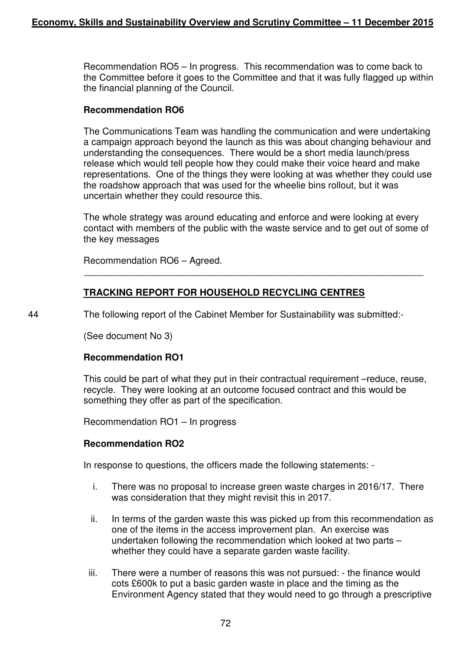Recommendation RO5 – In progress. This recommendation was to come back to the Committee before it goes to the Committee and that it was fully flagged up within the financial planning of the Council.

### **Recommendation RO6**

The Communications Team was handling the communication and were undertaking a campaign approach beyond the launch as this was about changing behaviour and understanding the consequences. There would be a short media launch/press release which would tell people how they could make their voice heard and make representations. One of the things they were looking at was whether they could use the roadshow approach that was used for the wheelie bins rollout, but it was uncertain whether they could resource this.

The whole strategy was around educating and enforce and were looking at every contact with members of the public with the waste service and to get out of some of the key messages

 $\overline{\phantom{a}}$  , and the contribution of the contribution of the contribution of the contribution of the contribution of the contribution of the contribution of the contribution of the contribution of the contribution of the

Recommendation RO6 – Agreed.

# **TRACKING REPORT FOR HOUSEHOLD RECYCLING CENTRES**

44 The following report of the Cabinet Member for Sustainability was submitted:-

(See document No 3)

### **Recommendation RO1**

This could be part of what they put in their contractual requirement –reduce, reuse, recycle. They were looking at an outcome focused contract and this would be something they offer as part of the specification.

Recommendation RO1 – In progress

### **Recommendation RO2**

In response to questions, the officers made the following statements: -

- i. There was no proposal to increase green waste charges in 2016/17. There was consideration that they might revisit this in 2017.
- ii. In terms of the garden waste this was picked up from this recommendation as one of the items in the access improvement plan. An exercise was undertaken following the recommendation which looked at two parts – whether they could have a separate garden waste facility.
- iii. There were a number of reasons this was not pursued: the finance would cots £600k to put a basic garden waste in place and the timing as the Environment Agency stated that they would need to go through a prescriptive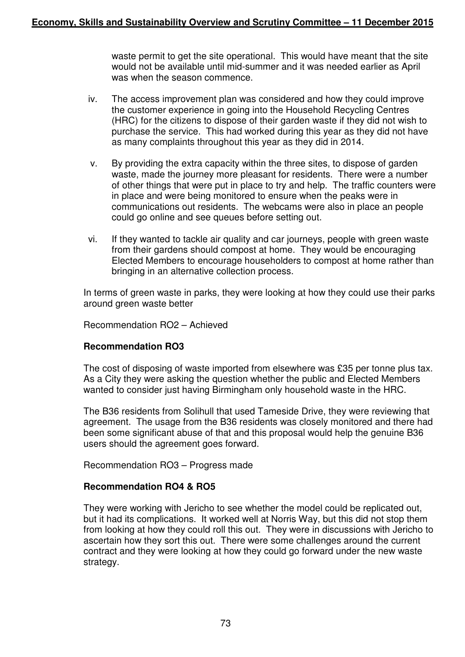waste permit to get the site operational. This would have meant that the site would not be available until mid-summer and it was needed earlier as April was when the season commence.

- iv. The access improvement plan was considered and how they could improve the customer experience in going into the Household Recycling Centres (HRC) for the citizens to dispose of their garden waste if they did not wish to purchase the service. This had worked during this year as they did not have as many complaints throughout this year as they did in 2014.
- v. By providing the extra capacity within the three sites, to dispose of garden waste, made the journey more pleasant for residents. There were a number of other things that were put in place to try and help. The traffic counters were in place and were being monitored to ensure when the peaks were in communications out residents. The webcams were also in place an people could go online and see queues before setting out.
- vi. If they wanted to tackle air quality and car journeys, people with green waste from their gardens should compost at home. They would be encouraging Elected Members to encourage householders to compost at home rather than bringing in an alternative collection process.

In terms of green waste in parks, they were looking at how they could use their parks around green waste better

Recommendation RO2 – Achieved

### **Recommendation RO3**

The cost of disposing of waste imported from elsewhere was £35 per tonne plus tax. As a City they were asking the question whether the public and Elected Members wanted to consider just having Birmingham only household waste in the HRC.

The B36 residents from Solihull that used Tameside Drive, they were reviewing that agreement. The usage from the B36 residents was closely monitored and there had been some significant abuse of that and this proposal would help the genuine B36 users should the agreement goes forward.

Recommendation RO3 – Progress made

### **Recommendation RO4 & RO5**

They were working with Jericho to see whether the model could be replicated out, but it had its complications. It worked well at Norris Way, but this did not stop them from looking at how they could roll this out. They were in discussions with Jericho to ascertain how they sort this out. There were some challenges around the current contract and they were looking at how they could go forward under the new waste strategy.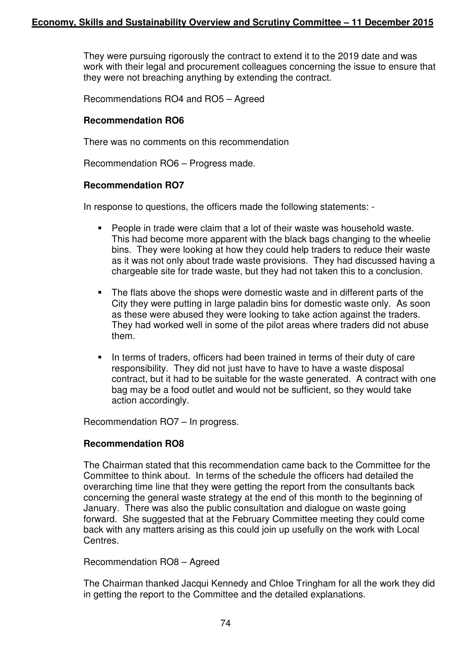They were pursuing rigorously the contract to extend it to the 2019 date and was work with their legal and procurement colleagues concerning the issue to ensure that they were not breaching anything by extending the contract.

Recommendations RO4 and RO5 – Agreed

### **Recommendation RO6**

There was no comments on this recommendation

Recommendation RO6 – Progress made.

### **Recommendation RO7**

In response to questions, the officers made the following statements: -

- - People in trade were claim that a lot of their waste was household waste. This had become more apparent with the black bags changing to the wheelie bins. They were looking at how they could help traders to reduce their waste as it was not only about trade waste provisions. They had discussed having a chargeable site for trade waste, but they had not taken this to a conclusion.
- - The flats above the shops were domestic waste and in different parts of the City they were putting in large paladin bins for domestic waste only. As soon as these were abused they were looking to take action against the traders. They had worked well in some of the pilot areas where traders did not abuse them.
- - In terms of traders, officers had been trained in terms of their duty of care responsibility. They did not just have to have to have a waste disposal contract, but it had to be suitable for the waste generated. A contract with one bag may be a food outlet and would not be sufficient, so they would take action accordingly.

Recommendation RO7 – In progress.

### **Recommendation RO8**

The Chairman stated that this recommendation came back to the Committee for the Committee to think about. In terms of the schedule the officers had detailed the overarching time line that they were getting the report from the consultants back concerning the general waste strategy at the end of this month to the beginning of January. There was also the public consultation and dialogue on waste going forward. She suggested that at the February Committee meeting they could come back with any matters arising as this could join up usefully on the work with Local Centres.

### Recommendation RO8 – Agreed

The Chairman thanked Jacqui Kennedy and Chloe Tringham for all the work they did in getting the report to the Committee and the detailed explanations.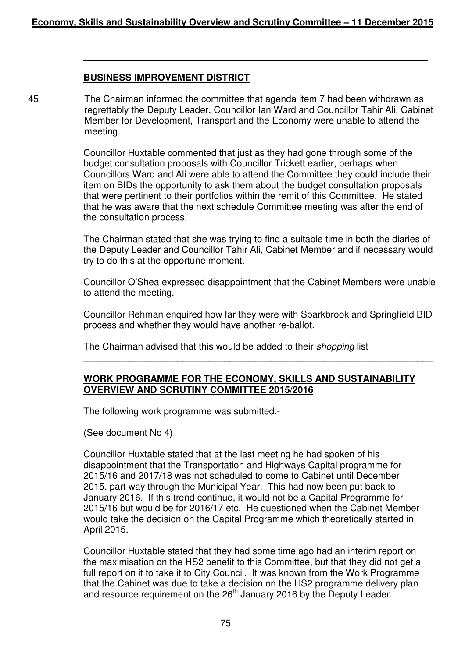# **BUSINESS IMPROVEMENT DISTRICT**

45 The Chairman informed the committee that agenda item 7 had been withdrawn as regrettably the Deputy Leader, Councillor Ian Ward and Councillor Tahir Ali, Cabinet Member for Development, Transport and the Economy were unable to attend the meeting.

> Councillor Huxtable commented that just as they had gone through some of the budget consultation proposals with Councillor Trickett earlier, perhaps when Councillors Ward and Ali were able to attend the Committee they could include their item on BIDs the opportunity to ask them about the budget consultation proposals that were pertinent to their portfolios within the remit of this Committee. He stated that he was aware that the next schedule Committee meeting was after the end of the consultation process.

> **\_\_\_\_\_\_\_\_\_\_\_\_\_\_\_\_\_\_\_\_\_\_\_\_\_\_\_\_\_\_\_\_\_\_\_\_\_\_\_\_\_\_\_\_\_\_\_\_\_\_\_\_\_\_\_\_\_\_\_\_\_\_\_\_\_\_**

The Chairman stated that she was trying to find a suitable time in both the diaries of the Deputy Leader and Councillor Tahir Ali, Cabinet Member and if necessary would try to do this at the opportune moment.

Councillor O'Shea expressed disappointment that the Cabinet Members were unable to attend the meeting.

Councillor Rehman enquired how far they were with Sparkbrook and Springfield BID process and whether they would have another re-ballot.

\_\_\_\_\_\_\_\_\_\_\_\_\_\_\_\_\_\_\_\_\_\_\_\_\_\_\_\_\_\_\_\_\_\_\_\_\_\_\_\_\_\_\_\_\_\_\_\_\_\_\_\_\_\_\_\_\_\_\_\_\_\_\_\_\_\_\_

The Chairman advised that this would be added to their shopping list

# **WORK PROGRAMME FOR THE ECONOMY, SKILLS AND SUSTAINABILITY OVERVIEW AND SCRUTINY COMMITTEE 2015/2016**

The following work programme was submitted:-

(See document No 4)

Councillor Huxtable stated that at the last meeting he had spoken of his disappointment that the Transportation and Highways Capital programme for 2015/16 and 2017/18 was not scheduled to come to Cabinet until December 2015, part way through the Municipal Year. This had now been put back to January 2016. If this trend continue, it would not be a Capital Programme for 2015/16 but would be for 2016/17 etc. He questioned when the Cabinet Member would take the decision on the Capital Programme which theoretically started in April 2015.

Councillor Huxtable stated that they had some time ago had an interim report on the maximisation on the HS2 benefit to this Committee, but that they did not get a full report on it to take it to City Council. It was known from the Work Programme that the Cabinet was due to take a decision on the HS2 programme delivery plan and resource requirement on the  $26<sup>th</sup>$  January 2016 by the Deputy Leader.